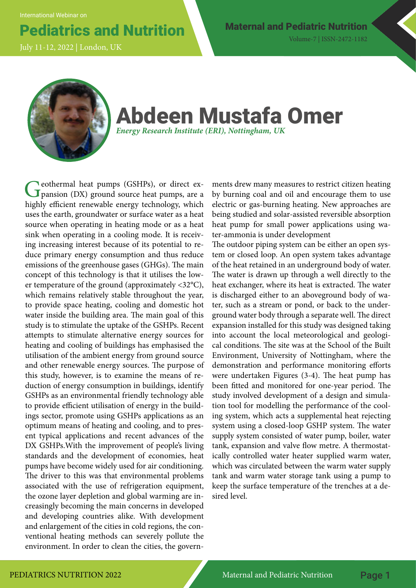International Webinar on

# Pediatrics and Nutrition Maternal and Pediatric Nutrition

Volume-7 | ISSN-2472-1182

July 11-12, 2022 | London, UK



# Abdeen Mustafa Omer *Energy Research Institute (ERI), Nottingham, UK*

Geothermal heat pumps (GSHPs), or direct expansion (DX) ground source heat pumps, are a highly efficient renewable energy technology, which uses the earth, groundwater or surface water as a heat source when operating in heating mode or as a heat sink when operating in a cooling mode. It is receiving increasing interest because of its potential to reduce primary energy consumption and thus reduce emissions of the greenhouse gases (GHGs). The main concept of this technology is that it utilises the lower temperature of the ground (approximately <32°C), which remains relatively stable throughout the year, to provide space heating, cooling and domestic hot water inside the building area. The main goal of this study is to stimulate the uptake of the GSHPs. Recent attempts to stimulate alternative energy sources for heating and cooling of buildings has emphasised the utilisation of the ambient energy from ground source and other renewable energy sources. The purpose of this study, however, is to examine the means of reduction of energy consumption in buildings, identify GSHPs as an environmental friendly technology able to provide efficient utilisation of energy in the buildings sector, promote using GSHPs applications as an optimum means of heating and cooling, and to present typical applications and recent advances of the DX GSHPs.With the improvement of people's living standards and the development of economies, heat pumps have become widely used for air conditioning. The driver to this was that environmental problems associated with the use of refrigeration equipment, the ozone layer depletion and global warming are increasingly becoming the main concerns in developed and developing countries alike. With development and enlargement of the cities in cold regions, the conventional heating methods can severely pollute the environment. In order to clean the cities, the govern-

ments drew many measures to restrict citizen heating by burning coal and oil and encourage them to use electric or gas-burning heating. New approaches are being studied and solar-assisted reversible absorption heat pump for small power applications using water-ammonia is under development

The outdoor piping system can be either an open system or closed loop. An open system takes advantage of the heat retained in an underground body of water. The water is drawn up through a well directly to the heat exchanger, where its heat is extracted. The water is discharged either to an aboveground body of water, such as a stream or pond, or back to the underground water body through a separate well. The direct expansion installed for this study was designed taking into account the local meteorological and geological conditions. The site was at the School of the Built Environment, University of Nottingham, where the demonstration and performance monitoring efforts were undertaken Figures (3-4). The heat pump has been fitted and monitored for one-year period. The study involved development of a design and simulation tool for modelling the performance of the cooling system, which acts a supplemental heat rejecting system using a closed-loop GSHP system. The water supply system consisted of water pump, boiler, water tank, expansion and valve flow metre. A thermostatically controlled water heater supplied warm water, which was circulated between the warm water supply tank and warm water storage tank using a pump to keep the surface temperature of the trenches at a desired level.